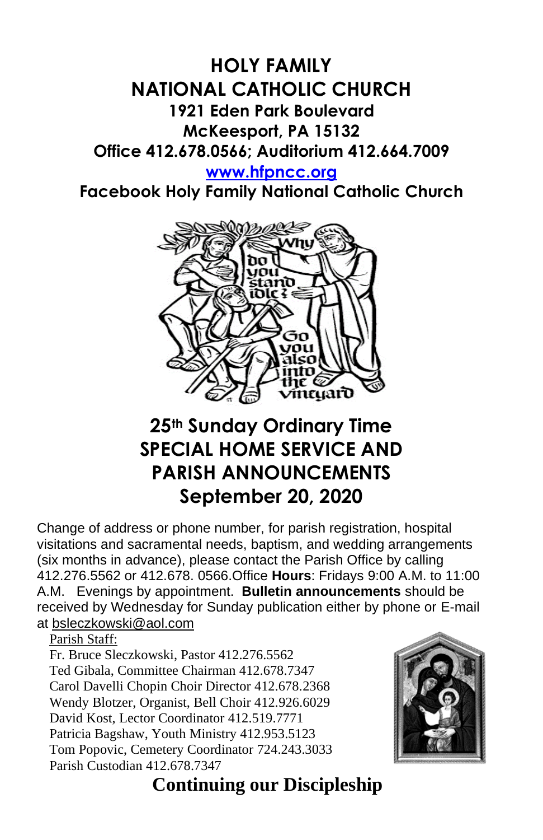### **HOLY FAMILY NATIONAL CATHOLIC CHURCH 1921 Eden Park Boulevard McKeesport, PA 15132 Office 412.678.0566; Auditorium 412.664.7009**

**[www.hfpncc.org](http://www.hfpncc.org/)**

**Facebook Holy Family National Catholic Church**



# **25th Sunday Ordinary Time SPECIAL HOME SERVICE AND PARISH ANNOUNCEMENTS September 20, 2020**

Change of address or phone number, for parish registration, hospital visitations and sacramental needs, baptism, and wedding arrangements (six months in advance), please contact the Parish Office by calling 412.276.5562 or 412.678. 0566.Office **Hours**: Fridays 9:00 A.M. to 11:00 A.M. Evenings by appointment. **Bulletin announcements** should be received by Wednesday for Sunday publication either by phone or E-mail at [bsleczkowski@aol.com](mailto:bsleczkowski@aol.com)

Parish Staff:

Fr. Bruce Sleczkowski, Pastor 412.276.5562 Ted Gibala, Committee Chairman 412.678.7347 Carol Davelli Chopin Choir Director 412.678.2368 Wendy Blotzer, Organist, Bell Choir 412.926.6029 David Kost, Lector Coordinator 412.519.7771 Patricia Bagshaw, Youth Ministry 412.953.5123 Tom Popovic, Cemetery Coordinator 724.243.3033 Parish Custodian 412.678.7347



 **Continuing our Discipleship**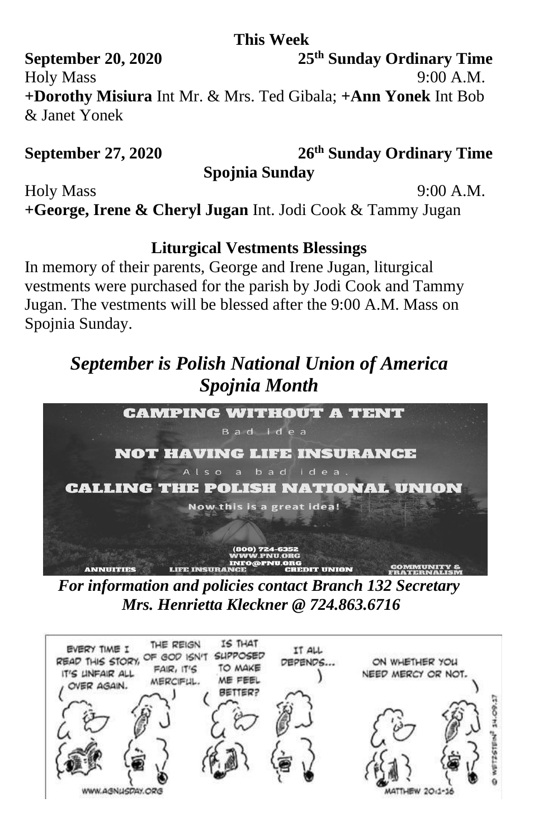#### **This Week**

**September 20, 2020 25th Sunday Ordinary Time** Holy Mass 9:00 A.M. **+Dorothy Misiura** Int Mr. & Mrs. Ted Gibala; **+Ann Yonek** Int Bob & Janet Yonek

#### **September 27, 2020**

**th Sunday Ordinary Time**

**Spojnia Sunday**

Holy Mass 9:00 A.M.

**+George, Irene & Cheryl Jugan** Int. Jodi Cook & Tammy Jugan

#### **Liturgical Vestments Blessings**

In memory of their parents, George and Irene Jugan, liturgical vestments were purchased for the parish by Jodi Cook and Tammy Jugan. The vestments will be blessed after the 9:00 A.M. Mass on Spojnia Sunday.

## *September is Polish National Union of America Spojnia Month*



*For information and policies contact Branch 132 Secretary Mrs. Henrietta Kleckner @ 724.863.6716*